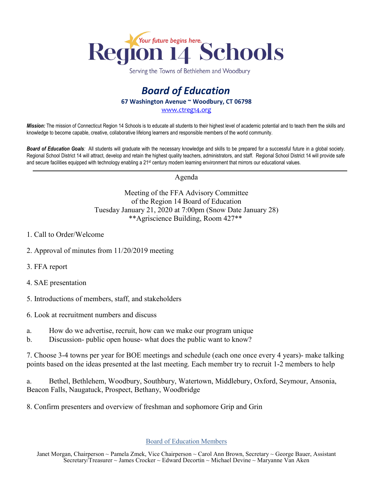

Serving the Towns of Bethlehem and Woodbury

## *Board of Education* **67 Washington Avenue ~ Woodbury, CT 06798** [www.ctreg14.org](http://www.ctreg14.org/)

*Mission:* The mission of Connecticut Region 14 Schools is to educate all students to their highest level of academic potential and to teach them the skills and knowledge to become capable, creative, collaborative lifelong learners and responsible members of the world community.

*Board of Education Goals:* All students will graduate with the necessary knowledge and skills to be prepared for a successful future in a global society. Regional School District 14 will attract, develop and retain the highest quality teachers, administrators, and staff. Regional School District 14 will provide safe and secure facilities equipped with technology enabling a 21<sup>st</sup> century modern learning environment that mirrors our educational values.

Agenda

Meeting of the FFA Advisory Committee of the Region 14 Board of Education Tuesday January 21, 2020 at 7:00pm (Snow Date January 28) \*\*Agriscience Building, Room 427\*\*

- 1. Call to Order/Welcome
- 2. Approval of minutes from 11/20/2019 meeting
- 3. FFA report
- 4. SAE presentation
- 5. Introductions of members, staff, and stakeholders
- 6. Look at recruitment numbers and discuss
- a. How do we advertise, recruit, how can we make our program unique
- b. Discussion- public open house- what does the public want to know?

7. Choose 3-4 towns per year for BOE meetings and schedule (each one once every 4 years)- make talking points based on the ideas presented at the last meeting. Each member try to recruit 1-2 members to help

a. Bethel, Bethlehem, Woodbury, Southbury, Watertown, Middlebury, Oxford, Seymour, Ansonia, Beacon Falls, Naugatuck, Prospect, Bethany, Woodbridge

8. Confirm presenters and overview of freshman and sophomore Grip and Grin

## Board of Education Members

Janet Morgan, Chairperson ~ Pamela Zmek, Vice Chairperson ~ Carol Ann Brown, Secretary ~ George Bauer, Assistant Secretary/Treasurer ~ James Crocker ~ Edward Decortin ~ Michael Devine ~ Maryanne Van Aken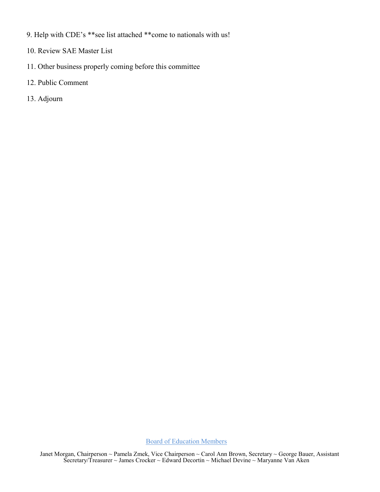- 9. Help with CDE's \*\*see list attached \*\*come to nationals with us!
- 10. Review SAE Master List
- 11. Other business properly coming before this committee
- 12. Public Comment
- 13. Adjourn

Board of Education Members